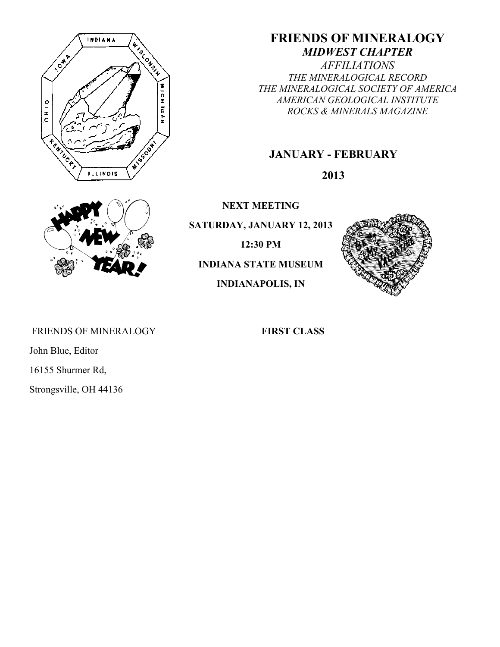

# **FRIENDS OF MINERALOGY** *MIDWEST CHAPTER*

*AFFILIATIONS THE MINERALOGICAL RECORD THE MINERALOGICAL SOCIETY OF AMERICA AMERICAN GEOLOGICAL INSTITUTE ROCKS & MINERALS MAGAZINE*

# **JANUARY - FEBRUARY**

**2013**



**NEXT MEETING**

**SATURDAY, JANUARY 12, 2013**

**12:30 PM**

**INDIANA STATE MUSEUM**

**INDIANAPOLIS, IN**



FRIENDS OF MINERALOGY **FIRST CLASS** 

John Blue, Editor

16155 Shurmer Rd,

Strongsville, OH 44136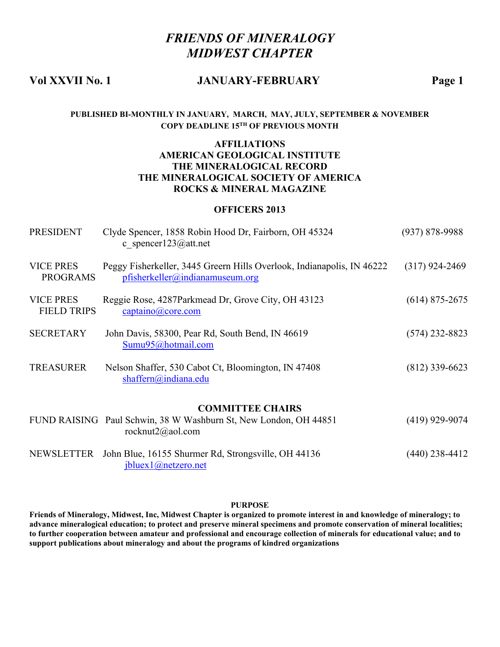# *FRIENDS OF MINERALOGY MIDWEST CHAPTER*

#### **Vol XXVII No. 1 JANUARY-FEBRUARY Page 1**

#### **PUBLISHED BI-MONTHLY IN JANUARY, MARCH, MAY, JULY, SEPTEMBER & NOVEMBER COPY DEADLINE 15TH OF PREVIOUS MONTH**

#### **AFFILIATIONS AMERICAN GEOLOGICAL INSTITUTE THE MINERALOGICAL RECORD THE MINERALOGICAL SOCIETY OF AMERICA ROCKS & MINERAL MAGAZINE**

#### **OFFICERS 2013**

| <b>PRESIDENT</b>                       | Clyde Spencer, 1858 Robin Hood Dr, Fairborn, OH 45324<br>c spencer123@att.net                             | $(937) 878 - 9988$ |
|----------------------------------------|-----------------------------------------------------------------------------------------------------------|--------------------|
| <b>VICE PRES</b><br><b>PROGRAMS</b>    | Peggy Fisherkeller, 3445 Greern Hills Overlook, Indianapolis, IN 46222<br>pfisherkeller@indianamuseum.org | $(317)$ 924-2469   |
| <b>VICE PRES</b><br><b>FIELD TRIPS</b> | Reggie Rose, 4287Parkmead Dr, Grove City, OH 43123<br>$\frac{captaino(a)core.com}{}$                      | $(614)$ 875-2675   |
| <b>SECRETARY</b>                       | John Davis, 58300, Pear Rd, South Bend, IN 46619<br>Sumu95@hotmail.com                                    | $(574)$ 232-8823   |
| <b>TREASURER</b>                       | Nelson Shaffer, 530 Cabot Ct, Bloomington, IN 47408<br>$shaffern(a)$ indiana.edu                          | $(812)$ 339-6623   |
|                                        | <b>COMMITTEE CHAIRS</b>                                                                                   |                    |
|                                        | FUND RAISING Paul Schwin, 38 W Washburn St, New London, OH 44851<br>rocknut2@aol.com                      | $(419)$ 929-9074   |
| NEWSLETTER                             | John Blue, 16155 Shurmer Rd, Strongsville, OH 44136<br>jbluex1@netzero.net                                | $(440)$ 238-4412   |

#### **PURPOSE**

**Friends of Mineralogy, Midwest, Inc, Midwest Chapter is organized to promote interest in and knowledge of mineralogy; to advance mineralogical education; to protect and preserve mineral specimens and promote conservation of mineral localities; to further cooperation between amateur and professional and encourage collection of minerals for educational value; and to support publications about mineralogy and about the programs of kindred organizations**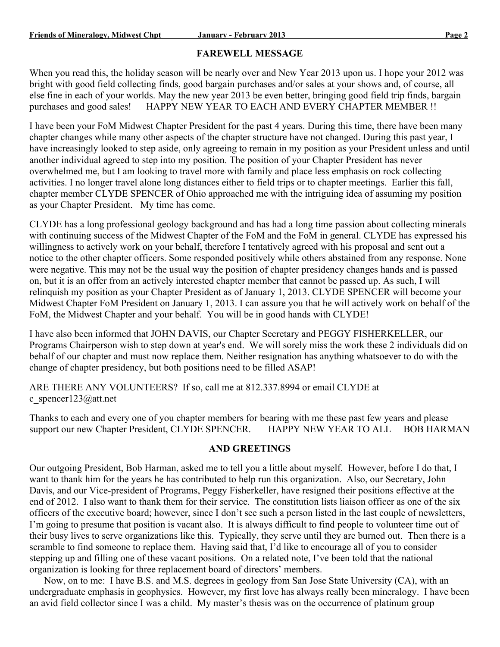#### **FAREWELL MESSAGE**

When you read this, the holiday season will be nearly over and New Year 2013 upon us. I hope your 2012 was bright with good field collecting finds, good bargain purchases and/or sales at your shows and, of course, all else fine in each of your worlds. May the new year 2013 be even better, bringing good field trip finds, bargain purchases and good sales! HAPPY NEW YEAR TO EACH AND EVERY CHAPTER MEMBER !!

I have been your FoM Midwest Chapter President for the past 4 years. During this time, there have been many chapter changes while many other aspects of the chapter structure have not changed. During this past year, I have increasingly looked to step aside, only agreeing to remain in my position as your President unless and until another individual agreed to step into my position. The position of your Chapter President has never overwhelmed me, but I am looking to travel more with family and place less emphasis on rock collecting activities. I no longer travel alone long distances either to field trips or to chapter meetings. Earlier this fall, chapter member CLYDE SPENCER of Ohio approached me with the intriguing idea of assuming my position as your Chapter President. My time has come.

CLYDE has a long professional geology background and has had a long time passion about collecting minerals with continuing success of the Midwest Chapter of the FoM and the FoM in general. CLYDE has expressed his willingness to actively work on your behalf, therefore I tentatively agreed with his proposal and sent out a notice to the other chapter officers. Some responded positively while others abstained from any response. None were negative. This may not be the usual way the position of chapter presidency changes hands and is passed on, but it is an offer from an actively interested chapter member that cannot be passed up. As such, I will relinquish my position as your Chapter President as of January 1, 2013. CLYDE SPENCER will become your Midwest Chapter FoM President on January 1, 2013. I can assure you that he will actively work on behalf of the FoM, the Midwest Chapter and your behalf. You will be in good hands with CLYDE!

I have also been informed that JOHN DAVIS, our Chapter Secretary and PEGGY FISHERKELLER, our Programs Chairperson wish to step down at year's end. We will sorely miss the work these 2 individuals did on behalf of our chapter and must now replace them. Neither resignation has anything whatsoever to do with the change of chapter presidency, but both positions need to be filled ASAP!

ARE THERE ANY VOLUNTEERS? If so, call me at 812.337.8994 or email CLYDE at c spencer123@att.net

Thanks to each and every one of you chapter members for bearing with me these past few years and please support our new Chapter President, CLYDE SPENCER. HAPPY NEW YEAR TO ALL BOB HARMAN support our new Chapter President, CLYDE SPENCER.

#### **AND GREETINGS**

Our outgoing President, Bob Harman, asked me to tell you a little about myself. However, before I do that, I want to thank him for the years he has contributed to help run this organization. Also, our Secretary, John Davis, and our Vice-president of Programs, Peggy Fisherkeller, have resigned their positions effective at the end of 2012. I also want to thank them for their service. The constitution lists liaison officer as one of the six officers of the executive board; however, since I don't see such a person listed in the last couple of newsletters, I'm going to presume that position is vacant also. It is always difficult to find people to volunteer time out of their busy lives to serve organizations like this. Typically, they serve until they are burned out. Then there is a scramble to find someone to replace them. Having said that, I'd like to encourage all of you to consider stepping up and filling one of these vacant positions. On a related note, I've been told that the national organization is looking for three replacement board of directors' members.

 Now, on to me: I have B.S. and M.S. degrees in geology from San Jose State University (CA), with an undergraduate emphasis in geophysics. However, my first love has always really been mineralogy. I have been an avid field collector since I was a child. My master's thesis was on the occurrence of platinum group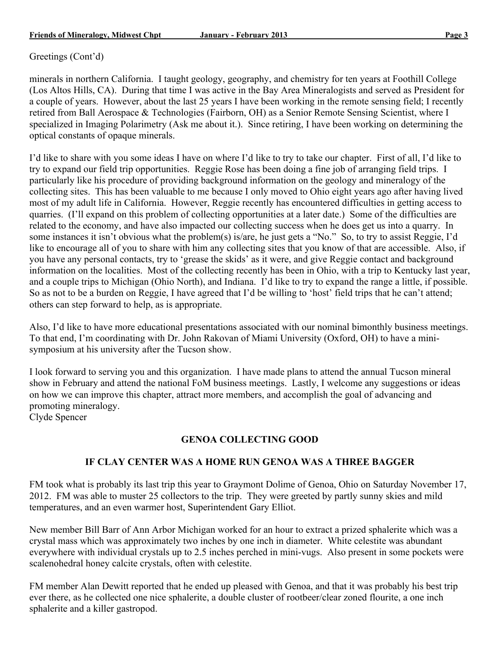Greetings (Cont'd)

minerals in northern California. I taught geology, geography, and chemistry for ten years at Foothill College (Los Altos Hills, CA). During that time I was active in the Bay Area Mineralogists and served as President for a couple of years. However, about the last 25 years I have been working in the remote sensing field; I recently retired from Ball Aerospace & Technologies (Fairborn, OH) as a Senior Remote Sensing Scientist, where I specialized in Imaging Polarimetry (Ask me about it.). Since retiring, I have been working on determining the optical constants of opaque minerals.

I'd like to share with you some ideas I have on where I'd like to try to take our chapter. First of all, I'd like to try to expand our field trip opportunities. Reggie Rose has been doing a fine job of arranging field trips. I particularly like his procedure of providing background information on the geology and mineralogy of the collecting sites. This has been valuable to me because I only moved to Ohio eight years ago after having lived most of my adult life in California. However, Reggie recently has encountered difficulties in getting access to quarries. (I'll expand on this problem of collecting opportunities at a later date.) Some of the difficulties are related to the economy, and have also impacted our collecting success when he does get us into a quarry. In some instances it isn't obvious what the problem(s) is/are, he just gets a "No." So, to try to assist Reggie, I'd like to encourage all of you to share with him any collecting sites that you know of that are accessible. Also, if you have any personal contacts, try to 'grease the skids' as it were, and give Reggie contact and background information on the localities. Most of the collecting recently has been in Ohio, with a trip to Kentucky last year, and a couple trips to Michigan (Ohio North), and Indiana. I'd like to try to expand the range a little, if possible. So as not to be a burden on Reggie, I have agreed that I'd be willing to 'host' field trips that he can't attend; others can step forward to help, as is appropriate.

Also, I'd like to have more educational presentations associated with our nominal bimonthly business meetings. To that end, I'm coordinating with Dr. John Rakovan of Miami University (Oxford, OH) to have a minisymposium at his university after the Tucson show.

I look forward to serving you and this organization. I have made plans to attend the annual Tucson mineral show in February and attend the national FoM business meetings. Lastly, I welcome any suggestions or ideas on how we can improve this chapter, attract more members, and accomplish the goal of advancing and promoting mineralogy.

Clyde Spencer

# **GENOA COLLECTING GOOD**

# **IF CLAY CENTER WAS A HOME RUN GENOA WAS A THREE BAGGER**

FM took what is probably its last trip this year to Graymont Dolime of Genoa, Ohio on Saturday November 17, 2012. FM was able to muster 25 collectors to the trip. They were greeted by partly sunny skies and mild temperatures, and an even warmer host, Superintendent Gary Elliot.

New member Bill Barr of Ann Arbor Michigan worked for an hour to extract a prized sphalerite which was a crystal mass which was approximately two inches by one inch in diameter. White celestite was abundant everywhere with individual crystals up to 2.5 inches perched in mini-vugs. Also present in some pockets were scalenohedral honey calcite crystals, often with celestite.

FM member Alan Dewitt reported that he ended up pleased with Genoa, and that it was probably his best trip ever there, as he collected one nice sphalerite, a double cluster of rootbeer/clear zoned flourite, a one inch sphalerite and a killer gastropod.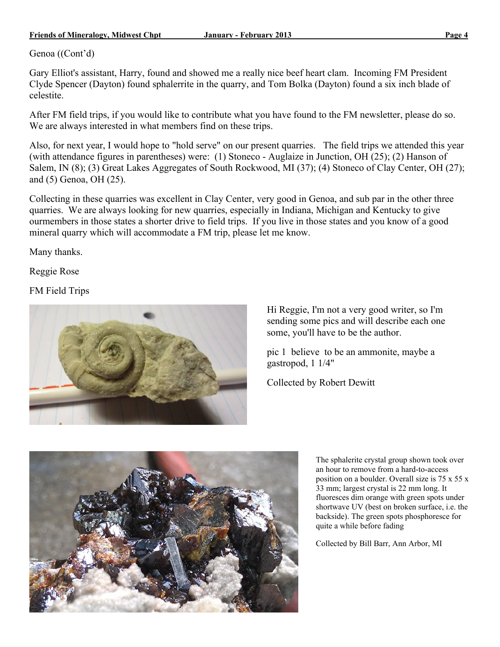#### **Friends of Mineralogy, Midwest Chpt January - February 2013 Page 4**

Genoa ((Cont'd)

Gary Elliot's assistant, Harry, found and showed me a really nice beef heart clam. Incoming FM President Clyde Spencer (Dayton) found sphalerrite in the quarry, and Tom Bolka (Dayton) found a six inch blade of celestite.

After FM field trips, if you would like to contribute what you have found to the FM newsletter, please do so. We are always interested in what members find on these trips.

Also, for next year, I would hope to "hold serve" on our present quarries. The field trips we attended this year (with attendance figures in parentheses) were: (1) Stoneco - Auglaize in Junction, OH (25); (2) Hanson of Salem, IN (8); (3) Great Lakes Aggregates of South Rockwood, MI (37); (4) Stoneco of Clay Center, OH (27); and (5) Genoa, OH (25).

Collecting in these quarries was excellent in Clay Center, very good in Genoa, and sub par in the other three quarries. We are always looking for new quarries, especially in Indiana, Michigan and Kentucky to give ourmembers in those states a shorter drive to field trips. If you live in those states and you know of a good mineral quarry which will accommodate a FM trip, please let me know.

Many thanks.

Reggie Rose

FM Field Trips



Hi Reggie, I'm not a very good writer, so I'm sending some pics and will describe each one some, you'll have to be the author.

pic 1 believe to be an ammonite, maybe a gastropod, 1 1/4"

Collected by Robert Dewitt



The sphalerite crystal group shown took over an hour to remove from a hard-to-access position on a boulder. Overall size is 75 x 55 x 33 mm; largest crystal is 22 mm long. It fluoresces dim orange with green spots under shortwave UV (best on broken surface, i.e. the backside). The green spots phosphoresce for quite a while before fading

Collected by Bill Barr, Ann Arbor, MI